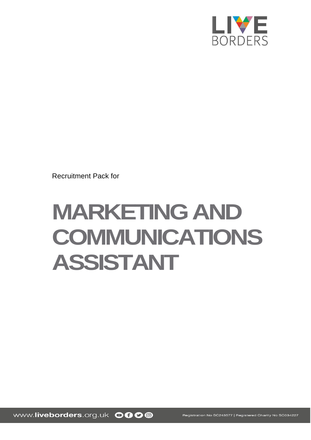

Recruitment Pack for

# **MARKETING AND COMMUNICATIONS ASSISTANT**

www.liveborders.org.uk OOOO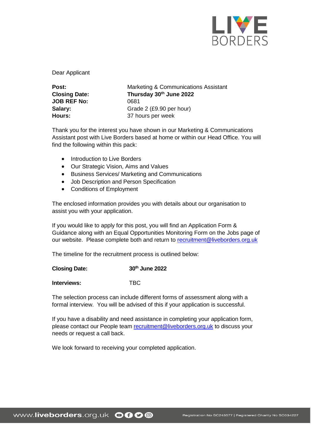

Dear Applicant

| Post:                | Marketing & Communications Assistant |
|----------------------|--------------------------------------|
| <b>Closing Date:</b> | Thursday 30th June 2022              |
| <b>JOB REF No:</b>   | 0681                                 |
| Salary:              | Grade 2 (£9.90 per hour)             |
| Hours:               | 37 hours per week                    |

Thank you for the interest you have shown in our Marketing & Communications Assistant post with Live Borders based at home or within our Head Office. You will find the following within this pack:

- Introduction to Live Borders
- Our Strategic Vision, Aims and Values
- Business Services/ Marketing and Communications
- Job Description and Person Specification
- Conditions of Employment

The enclosed information provides you with details about our organisation to assist you with your application.

If you would like to apply for this post, you will find an Application Form & Guidance along with an Equal Opportunities Monitoring Form on the Jobs page of our website. Please complete both and return to [recruitment@liveborders.org.uk](mailto:recruitment@liveborders.org.uk)

The timeline for the recruitment process is outlined below:

## **Closing Date: 30th June 2022**

**Interviews:** TBC

The selection process can include different forms of assessment along with a formal interview. You will be advised of this if your application is successful.

If you have a disability and need assistance in completing your application form, please contact our People team [recruitment@liveborders.org.uk](mailto:recruitment@liveborders.org.uk) to discuss your needs or request a call back.

We look forward to receiving your completed application.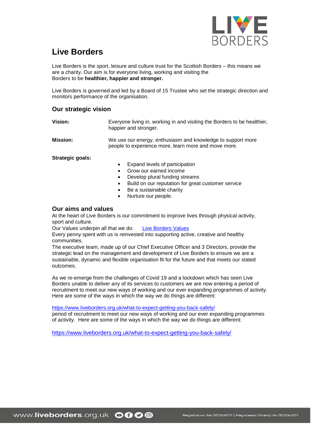

# **Live Borders**

Live Borders is the sport, leisure and culture trust for the Scottish Borders – this means we are a charity. Our aim is for everyone living, working and visiting the Borders to be **healthier, happier and stronger.**

Live Borders is governed and led by a Board of 15 Trustee who set the strategic direction and monitors performance of the organisation.

# **Our strategic vision**

| Vision:          | Everyone living in, working in and visiting the Borders to be healthier,<br>happier and stronger.                   |
|------------------|---------------------------------------------------------------------------------------------------------------------|
| Mission:         | We use our energy, enthusiasm and knowledge to support more<br>people to experience more, learn more and move more. |
| Strategic goals: |                                                                                                                     |

Expand levels of participation

- Grow our earned income
- Develop plural funding streams
- Build on our reputation for great customer service
- Be a sustainable charity
- Nurture our people.

# **Our aims and values**

At the heart of Live Borders is our commitment to improve lives through physical activity, sport and culture.

Our Values underpin all that we do: [Live Borders Values](https://www.liveborders.org.uk/values/)

Every penny spent with us is reinvested into supporting active, creative and healthy communities.

The executive team, made up of our Chief Executive Officer and 3 Directors, provide the strategic lead on the management and development of Live Borders to ensure we are a sustainable, dynamic and flexible organisation fit for the future and that meets our stated outcomes.

As we re-emerge from the challenges of Covid 19 and a lockdown which has seen Live Borders unable to deliver any of its services to customers we are now entering a period of recruitment to meet our new ways of working and our ever expanding programmes of activity. Here are some of the ways in which the way we do things are different:

<https://www.liveborders.org.uk/what-to-expect-getting-you-back-safely/>

period of recruitment to meet our new ways of working and our ever expanding programmes of activity. Here are some of the ways in which the way we do things are different:

<https://www.liveborders.org.uk/what-to-expect-getting-you-back-safely/>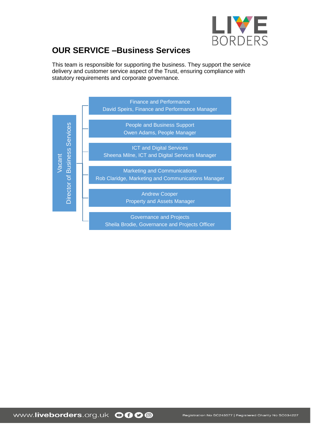

# **OUR SERVICE –Business Services**

This team is responsible for supporting the business. They support the service delivery and customer service aspect of the Trust, ensuring compliance with statutory requirements and corporate governance.

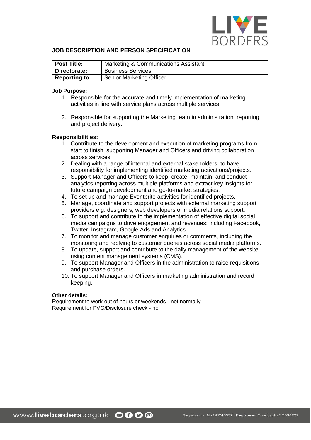

## **JOB DESCRIPTION AND PERSON SPECIFICATION**

| Post Title:          | Marketing & Communications Assistant |
|----------------------|--------------------------------------|
| Directorate:         | <b>Business Services</b>             |
| <b>Reporting to:</b> | <b>Senior Marketing Officer</b>      |

#### **Job Purpose:**

- 1. Responsible for the accurate and timely implementation of marketing activities in line with service plans across multiple services.
- 2. Responsible for supporting the Marketing team in administration, reporting and project delivery.

#### **Responsibilities:**

- 1. Contribute to the development and execution of marketing programs from start to finish, supporting Manager and Officers and driving collaboration across services.
- 2. Dealing with a range of internal and external stakeholders, to have responsibility for implementing identified marketing activations/projects.
- 3. Support Manager and Officers to keep, create, maintain, and conduct analytics reporting across multiple platforms and extract key insights for future campaign development and go-to-market strategies.
- 4. To set up and manage Eventbrite activities for identified projects.
- 5. Manage, coordinate and support projects with external marketing support providers e.g. designers, web developers or media relations support.
- 6. To support and contribute to the implementation of effective digital social media campaigns to drive engagement and revenues; including Facebook, Twitter, Instagram, Google Ads and Analytics.
- 7. To monitor and manage customer enquiries or comments, including the monitoring and replying to customer queries across social media platforms.
- 8. To update, support and contribute to the daily management of the website using content management systems (CMS).
- 9. To support Manager and Officers in the administration to raise requisitions and purchase orders.
- 10. To support Manager and Officers in marketing administration and record keeping.

#### **Other details:**

Requirement to work out of hours or weekends - not normally Requirement for PVG/Disclosure check - no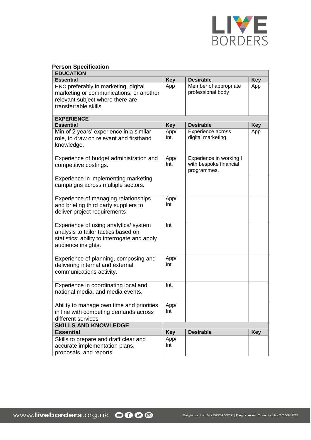

# **Person Specification**

| <b>EDUCATION</b>                             |            |                         |            |  |
|----------------------------------------------|------------|-------------------------|------------|--|
| <b>Essential</b>                             | <b>Key</b> | <b>Desirable</b>        | <b>Key</b> |  |
| HNC preferably in marketing, digital         | App        | Member of appropriate   | App        |  |
| marketing or communications; or another      |            | professional body       |            |  |
| relevant subject where there are             |            |                         |            |  |
| transferrable skills.                        |            |                         |            |  |
|                                              |            |                         |            |  |
| <b>EXPERIENCE</b>                            |            |                         |            |  |
| <b>Essential</b>                             | <b>Key</b> | <b>Desirable</b>        | <b>Key</b> |  |
| Min of 2 years' experience in a similar      | App/       | Experience across       | App        |  |
| role, to draw on relevant and firsthand      | Int.       | digital marketing.      |            |  |
| knowledge.                                   |            |                         |            |  |
|                                              |            |                         |            |  |
| Experience of budget administration and      | App/       | Experience in working I |            |  |
| competitive costings.                        | Int.       | with bespoke financial  |            |  |
|                                              |            | programmes.             |            |  |
| Experience in implementing marketing         |            |                         |            |  |
| campaigns across multiple sectors.           |            |                         |            |  |
|                                              |            |                         |            |  |
| Experience of managing relationships         | App/       |                         |            |  |
| and briefing third party suppliers to        | Int        |                         |            |  |
| deliver project requirements                 |            |                         |            |  |
|                                              |            |                         |            |  |
| Experience of using analytics/ system        | Int        |                         |            |  |
| analysis to tailor tactics based on          |            |                         |            |  |
| statistics: ability to interrogate and apply |            |                         |            |  |
| audience insights.                           |            |                         |            |  |
|                                              |            |                         |            |  |
| Experience of planning, composing and        | App/       |                         |            |  |
| delivering internal and external             | Int        |                         |            |  |
| communications activity.                     |            |                         |            |  |
|                                              |            |                         |            |  |
| Experience in coordinating local and         | Int.       |                         |            |  |
| national media, and media events.            |            |                         |            |  |
|                                              |            |                         |            |  |
| Ability to manage own time and priorities    | App/       |                         |            |  |
| in line with competing demands across        | Int        |                         |            |  |
| different services                           |            |                         |            |  |
| <b>SKILLS AND KNOWLEDGE</b>                  |            |                         |            |  |
| <b>Essential</b>                             | <b>Key</b> | <b>Desirable</b>        | <b>Key</b> |  |
| Skills to prepare and draft clear and        | App/       |                         |            |  |
| accurate implementation plans,               | Int        |                         |            |  |
| proposals, and reports.                      |            |                         |            |  |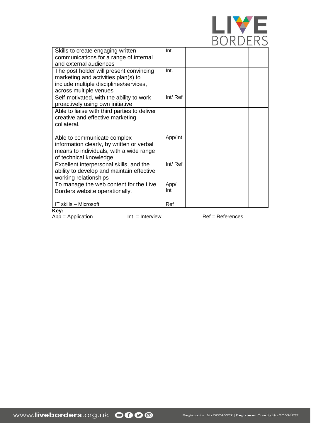

| Int.    |
|---------|
|         |
|         |
| Int.    |
|         |
|         |
|         |
| Int/Ref |
|         |
|         |
|         |
|         |
|         |
| App/Int |
|         |
|         |
|         |
| Int/Ref |
|         |
|         |
| App/    |
| Int     |
|         |
| Ref     |
|         |

**Key:** 

 $App = Application$  Int = Interview Ref = References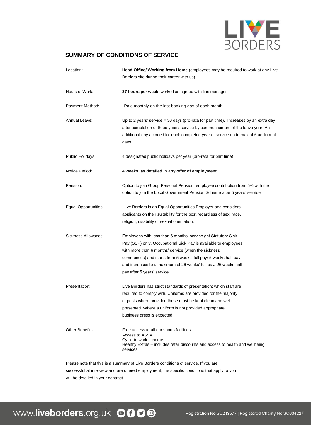

# **SUMMARY OF CONDITIONS OF SERVICE**

| Location:            | Head Office/ Working from Home (employees may be required to work at any Live<br>Borders site during their career with us).                                                                                                                                                                                                                                 |
|----------------------|-------------------------------------------------------------------------------------------------------------------------------------------------------------------------------------------------------------------------------------------------------------------------------------------------------------------------------------------------------------|
| Hours of Work:       | 37 hours per week, worked as agreed with line manager                                                                                                                                                                                                                                                                                                       |
| Payment Method:      | Paid monthly on the last banking day of each month.                                                                                                                                                                                                                                                                                                         |
| Annual Leave:        | Up to 2 years' service $=$ 30 days (pro-rata for part time). Increases by an extra day<br>after completion of three years' service by commencement of the leave year. An<br>additional day accrued for each completed year of service up to max of 6 additional<br>days.                                                                                    |
| Public Holidays:     | 4 designated public holidays per year (pro-rata for part time)                                                                                                                                                                                                                                                                                              |
| Notice Period:       | 4 weeks, as detailed in any offer of employment                                                                                                                                                                                                                                                                                                             |
| Pension:             | Option to join Group Personal Pension; employee contribution from 5% with the<br>option to join the Local Government Pension Scheme after 5 years' service.                                                                                                                                                                                                 |
| Equal Opportunities: | Live Borders is an Equal Opportunities Employer and considers<br>applicants on their suitability for the post regardless of sex, race,<br>religion, disability or sexual orientation.                                                                                                                                                                       |
| Sickness Allowance:  | Employees with less than 6 months' service get Statutory Sick<br>Pay (SSP) only. Occupational Sick Pay is available to employees<br>with more than 6 months' service (when the sickness<br>commences) and starts from 5 weeks' full pay/ 5 weeks half pay<br>and increases to a maximum of 26 weeks' full pay/ 26 weeks half<br>pay after 5 years' service. |
| Presentation:        | Live Borders has strict standards of presentation; which staff are<br>required to comply with. Uniforms are provided for the majority<br>of posts where provided these must be kept clean and well<br>presented. Where a uniform is not provided appropriate<br>business dress is expected.                                                                 |
| Other Benefits:      | Free access to all our sports facilities<br>Access to ASVA<br>Cycle to work scheme<br>Healthy Extras - includes retail discounts and access to health and wellbeing<br>services                                                                                                                                                                             |

Please note that this is a summary of Live Borders conditions of service. If you are successful at interview and are offered employment, the specific conditions that apply to you will be detailed in your contract.